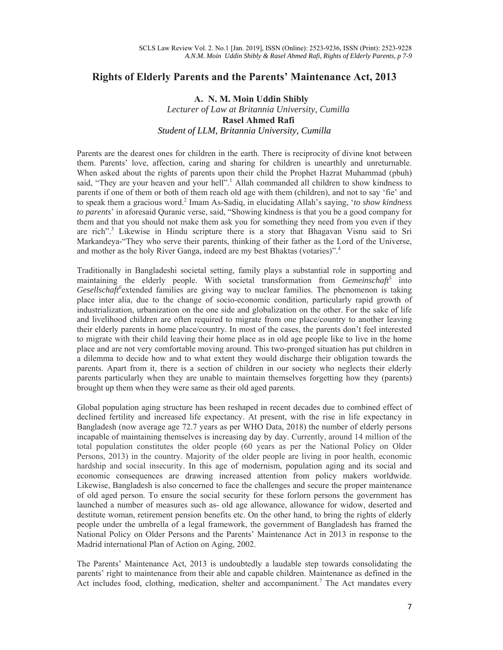## **Rights of Elderly Parents and the Parents' Maintenance Act, 2013**

## **A. N. M. Moin Uddin Shibly**  *Lecturer of Law at Britannia University, Cumilla* **Rasel Ahmed Rafi**  *Student of LLM, Britannia University, Cumilla*

Parents are the dearest ones for children in the earth. There is reciprocity of divine knot between them. Parents' love, affection, caring and sharing for children is unearthly and unreturnable. When asked about the rights of parents upon their child the Prophet Hazrat Muhammad (pbuh) said, "They are your heaven and your hell".<sup>1</sup> Allah commanded all children to show kindness to parents if one of them or both of them reach old age with them (children), and not to say 'fie' and to speak them a gracious word.<sup>2</sup> Imam As-Sadiq, in elucidating Allah's saying, '*to show kindness to parents*' in aforesaid Quranic verse, said, "Showing kindness is that you be a good company for them and that you should not make them ask you for something they need from you even if they are rich".<sup>3</sup> Likewise in Hindu scripture there is a story that Bhagavan Visnu said to Sri Markandeya-"They who serve their parents, thinking of their father as the Lord of the Universe, and mother as the holy River Ganga, indeed are my best Bhaktas (votaries)".4

Traditionally in Bangladeshi societal setting, family plays a substantial role in supporting and maintaining the elderly people. With societal transformation from *Gemeinschaft<sup>5</sup>* into Gesellschaft<sup>6</sup> extended families are giving way to nuclear families. The phenomenon is taking place inter alia, due to the change of socio-economic condition, particularly rapid growth of industrialization, urbanization on the one side and globalization on the other. For the sake of life and livelihood children are often required to migrate from one place/country to another leaving their elderly parents in home place/country. In most of the cases, the parents don't feel interested to migrate with their child leaving their home place as in old age people like to live in the home place and are not very comfortable moving around. This two-pronged situation has put children in a dilemma to decide how and to what extent they would discharge their obligation towards the parents. Apart from it, there is a section of children in our society who neglects their elderly parents particularly when they are unable to maintain themselves forgetting how they (parents) brought up them when they were same as their old aged parents.

Global population aging structure has been reshaped in recent decades due to combined effect of declined fertility and increased life expectancy. At present, with the rise in life expectancy in Bangladesh (now average age 72.7 years as per WHO Data, 2018) the number of elderly persons incapable of maintaining themselves is increasing day by day. Currently, around 14 million of the total population constitutes the older people (60 years as per the National Policy on Older Persons, 2013) in the country. Majority of the older people are living in poor health, economic hardship and social insecurity. In this age of modernism, population aging and its social and economic consequences are drawing increased attention from policy makers worldwide. Likewise, Bangladesh is also concerned to face the challenges and secure the proper maintenance of old aged person. To ensure the social security for these forlorn persons the government has launched a number of measures such as- old age allowance, allowance for widow, deserted and destitute woman, retirement pension benefits etc. On the other hand, to bring the rights of elderly people under the umbrella of a legal framework, the government of Bangladesh has framed the National Policy on Older Persons and the Parents' Maintenance Act in 2013 in response to the Madrid international Plan of Action on Aging, 2002.

The Parents' Maintenance Act, 2013 is undoubtedly a laudable step towards consolidating the parents' right to maintenance from their able and capable children. Maintenance as defined in the Act includes food, clothing, medication, shelter and accompaniment.<sup>7</sup> The Act mandates every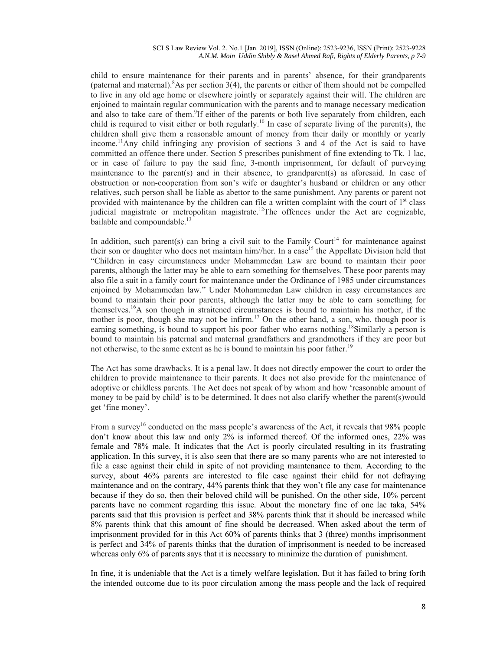child to ensure maintenance for their parents and in parents' absence, for their grandparents (paternal and maternal).  $8$ As per section  $3(4)$ , the parents or either of them should not be compelled to live in any old age home or elsewhere jointly or separately against their will. The children are enjoined to maintain regular communication with the parents and to manage necessary medication and also to take care of them.<sup>9</sup>If either of the parents or both live separately from children, each child is required to visit either or both regularly.<sup>10</sup> In case of separate living of the parent(s), the children shall give them a reasonable amount of money from their daily or monthly or yearly income.<sup>11</sup>Any child infringing any provision of sections 3 and 4 of the Act is said to have committed an offence there under. Section 5 prescribes punishment of fine extending to Tk. 1 lac, or in case of failure to pay the said fine, 3-month imprisonment, for default of purveying maintenance to the parent(s) and in their absence, to grandparent(s) as aforesaid. In case of obstruction or non-cooperation from son's wife or daughter's husband or children or any other relatives, such person shall be liable as abettor to the same punishment. Any parents or parent not provided with maintenance by the children can file a written complaint with the court of  $1<sup>st</sup>$  class judicial magistrate or metropolitan magistrate.<sup>12</sup>The offences under the Act are cognizable, bailable and compoundable.<sup>13</sup>

In addition, such parent(s) can bring a civil suit to the Family Court<sup>14</sup> for maintenance against their son or daughter who does not maintain him//her. In a case<sup>15</sup> the Appellate Division held that "Children in easy circumstances under Mohammedan Law are bound to maintain their poor parents, although the latter may be able to earn something for themselves. These poor parents may also file a suit in a family court for maintenance under the Ordinance of 1985 under circumstances enjoined by Mohammedan law." Under Mohammedan Law children in easy circumstances are bound to maintain their poor parents, although the latter may be able to earn something for themselves.16A son though in straitened circumstances is bound to maintain his mother, if the mother is poor, though she may not be infirm.<sup>17</sup> On the other hand, a son, who, though poor is earning something, is bound to support his poor father who earns nothing.<sup>18</sup>Similarly a person is bound to maintain his paternal and maternal grandfathers and grandmothers if they are poor but not otherwise, to the same extent as he is bound to maintain his poor father.<sup>19</sup>

The Act has some drawbacks. It is a penal law. It does not directly empower the court to order the children to provide maintenance to their parents. It does not also provide for the maintenance of adoptive or childless parents. The Act does not speak of by whom and how 'reasonable amount of money to be paid by child' is to be determined. It does not also clarify whether the parent(s)would get 'fine money'.

From a survey<sup>16</sup> conducted on the mass people's awareness of the Act, it reveals that 98% people don't know about this law and only 2% is informed thereof. Of the informed ones, 22% was female and 78% male. It indicates that the Act is poorly circulated resulting in its frustrating application. In this survey, it is also seen that there are so many parents who are not interested to file a case against their child in spite of not providing maintenance to them. According to the survey, about 46% parents are interested to file case against their child for not defraying maintenance and on the contrary, 44% parents think that they won't file any case for maintenance because if they do so, then their beloved child will be punished. On the other side, 10% percent parents have no comment regarding this issue. About the monetary fine of one lac taka, 54% parents said that this provision is perfect and 38% parents think that it should be increased while 8% parents think that this amount of fine should be decreased. When asked about the term of imprisonment provided for in this Act 60% of parents thinks that 3 (three) months imprisonment is perfect and 34% of parents thinks that the duration of imprisonment is needed to be increased whereas only 6% of parents says that it is necessary to minimize the duration of punishment.

In fine, it is undeniable that the Act is a timely welfare legislation. But it has failed to bring forth the intended outcome due to its poor circulation among the mass people and the lack of required